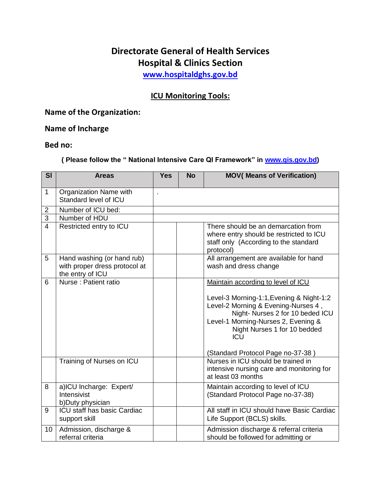# **Directorate General of Health Services Hospital & Clinics Section**

**[www.hospitaldghs.gov.bd](http://www.hospitaldghs.gov.bd/)**

### **ICU Monitoring Tools:**

#### **Name of the Organization:**

## **Name of Incharge**

#### **Bed no:**

#### **( Please follow the " National Intensive Care QI Framework" in [www.qis.gov.bd\)](http://www.qis.gov.bd/)**

| SI             | <b>Areas</b>                                                                    | <b>Yes</b> | <b>No</b> | <b>MOV( Means of Verification)</b>                                                                                                                                                                                                                                                  |
|----------------|---------------------------------------------------------------------------------|------------|-----------|-------------------------------------------------------------------------------------------------------------------------------------------------------------------------------------------------------------------------------------------------------------------------------------|
| $\mathbf{1}$   | Organization Name with<br>Standard level of ICU                                 |            |           |                                                                                                                                                                                                                                                                                     |
| $\overline{2}$ | Number of ICU bed:                                                              |            |           |                                                                                                                                                                                                                                                                                     |
| $\overline{3}$ | Number of HDU                                                                   |            |           |                                                                                                                                                                                                                                                                                     |
| $\overline{4}$ | Restricted entry to ICU                                                         |            |           | There should be an demarcation from<br>where entry should be restricted to ICU<br>staff only (According to the standard<br>protocol)                                                                                                                                                |
| 5              | Hand washing (or hand rub)<br>with proper dress protocol at<br>the entry of ICU |            |           | All arrangement are available for hand<br>wash and dress change                                                                                                                                                                                                                     |
| 6              | Nurse : Patient ratio                                                           |            |           | Maintain according to level of ICU<br>Level-3 Morning-1:1, Evening & Night-1:2<br>Level-2 Morning & Evening-Nurses 4,<br>Night- Nurses 2 for 10 beded ICU<br>Level-1 Morning-Nurses 2, Evening &<br>Night Nurses 1 for 10 bedded<br><b>ICU</b><br>(Standard Protocol Page no-37-38) |
|                | Training of Nurses on ICU                                                       |            |           | Nurses in ICU should be trained in<br>intensive nursing care and monitoring for<br>at least 03 months                                                                                                                                                                               |
| 8              | a)ICU Incharge: Expert/<br>Intensivist<br>b)Duty physician                      |            |           | Maintain according to level of ICU<br>(Standard Protocol Page no-37-38)                                                                                                                                                                                                             |
| 9              | ICU staff has basic Cardiac<br>support skill                                    |            |           | All staff in ICU should have Basic Cardiac<br>Life Support (BCLS) skills.                                                                                                                                                                                                           |
| 10             | Admission, discharge &<br>referral criteria                                     |            |           | Admission discharge & referral criteria<br>should be followed for admitting or                                                                                                                                                                                                      |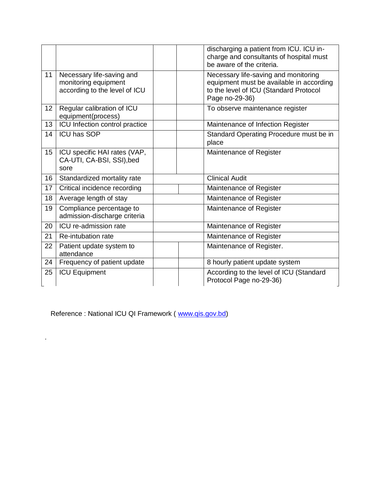|    |                                                                                    |  |  | discharging a patient from ICU. ICU in-<br>charge and consultants of hospital must<br>be aware of the criteria.                              |  |  |
|----|------------------------------------------------------------------------------------|--|--|----------------------------------------------------------------------------------------------------------------------------------------------|--|--|
| 11 | Necessary life-saving and<br>monitoring equipment<br>according to the level of ICU |  |  | Necessary life-saving and monitoring<br>equipment must be available in according<br>to the level of ICU (Standard Protocol<br>Page no-29-36) |  |  |
| 12 | Regular calibration of ICU<br>equipment(process)                                   |  |  | To observe maintenance register                                                                                                              |  |  |
| 13 | ICU Infection control practice                                                     |  |  | Maintenance of Infection Register                                                                                                            |  |  |
| 14 | <b>ICU has SOP</b>                                                                 |  |  | Standard Operating Procedure must be in<br>place                                                                                             |  |  |
| 15 | ICU specific HAI rates (VAP,<br>CA-UTI, CA-BSI, SSI), bed<br>sore                  |  |  | Maintenance of Register                                                                                                                      |  |  |
| 16 | Standardized mortality rate                                                        |  |  | <b>Clinical Audit</b>                                                                                                                        |  |  |
| 17 | Critical incidence recording                                                       |  |  | Maintenance of Register                                                                                                                      |  |  |
| 18 | Average length of stay                                                             |  |  | Maintenance of Register                                                                                                                      |  |  |
| 19 | Compliance percentage to<br>admission-discharge criteria                           |  |  | Maintenance of Register                                                                                                                      |  |  |
| 20 | ICU re-admission rate                                                              |  |  | Maintenance of Register                                                                                                                      |  |  |
| 21 | Re-intubation rate                                                                 |  |  | Maintenance of Register                                                                                                                      |  |  |
| 22 | Patient update system to<br>attendance                                             |  |  | Maintenance of Register.                                                                                                                     |  |  |
| 24 | Frequency of patient update                                                        |  |  | 8 hourly patient update system                                                                                                               |  |  |
| 25 | <b>ICU Equipment</b>                                                               |  |  | According to the level of ICU (Standard<br>Protocol Page no-29-36)                                                                           |  |  |

Reference : National ICU QI Framework ( [www.qis.gov.bd\)](http://www.qis.gov.bd/)

.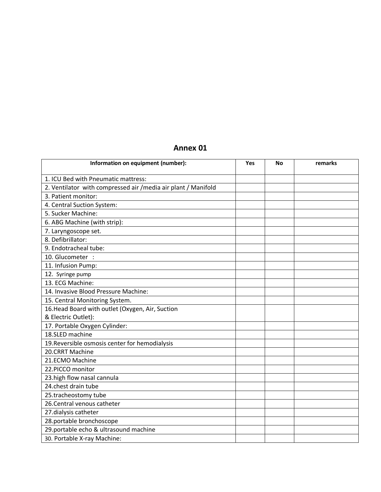## **Annex 01**

| Information on equipment (number):                            | Yes | No | remarks |
|---------------------------------------------------------------|-----|----|---------|
| 1. ICU Bed with Pneumatic mattress:                           |     |    |         |
| 2. Ventilator with compressed air /media air plant / Manifold |     |    |         |
| 3. Patient monitor:                                           |     |    |         |
| 4. Central Suction System:                                    |     |    |         |
| 5. Sucker Machine:                                            |     |    |         |
| 6. ABG Machine (with strip):                                  |     |    |         |
| 7. Laryngoscope set.                                          |     |    |         |
| 8. Defibrillator:                                             |     |    |         |
| 9. Endotracheal tube:                                         |     |    |         |
| 10. Glucometer :                                              |     |    |         |
| 11. Infusion Pump:                                            |     |    |         |
| 12. Syringe pump                                              |     |    |         |
| 13. ECG Machine:                                              |     |    |         |
| 14. Invasive Blood Pressure Machine:                          |     |    |         |
| 15. Central Monitoring System.                                |     |    |         |
| 16. Head Board with outlet (Oxygen, Air, Suction              |     |    |         |
| & Electric Outlet):                                           |     |    |         |
| 17. Portable Oxygen Cylinder:                                 |     |    |         |
| 18.SLED machine                                               |     |    |         |
| 19. Reversible osmosis center for hemodialysis                |     |    |         |
| 20.CRRT Machine                                               |     |    |         |
| 21.ECMO Machine                                               |     |    |         |
| 22.PICCO monitor                                              |     |    |         |
| 23. high flow nasal cannula                                   |     |    |         |
| 24.chest drain tube                                           |     |    |         |
| 25.tracheostomy tube                                          |     |    |         |
| 26. Central venous catheter                                   |     |    |         |
| 27.dialysis catheter                                          |     |    |         |
| 28.portable bronchoscope                                      |     |    |         |
| 29.portable echo & ultrasound machine                         |     |    |         |
| 30. Portable X-ray Machine:                                   |     |    |         |